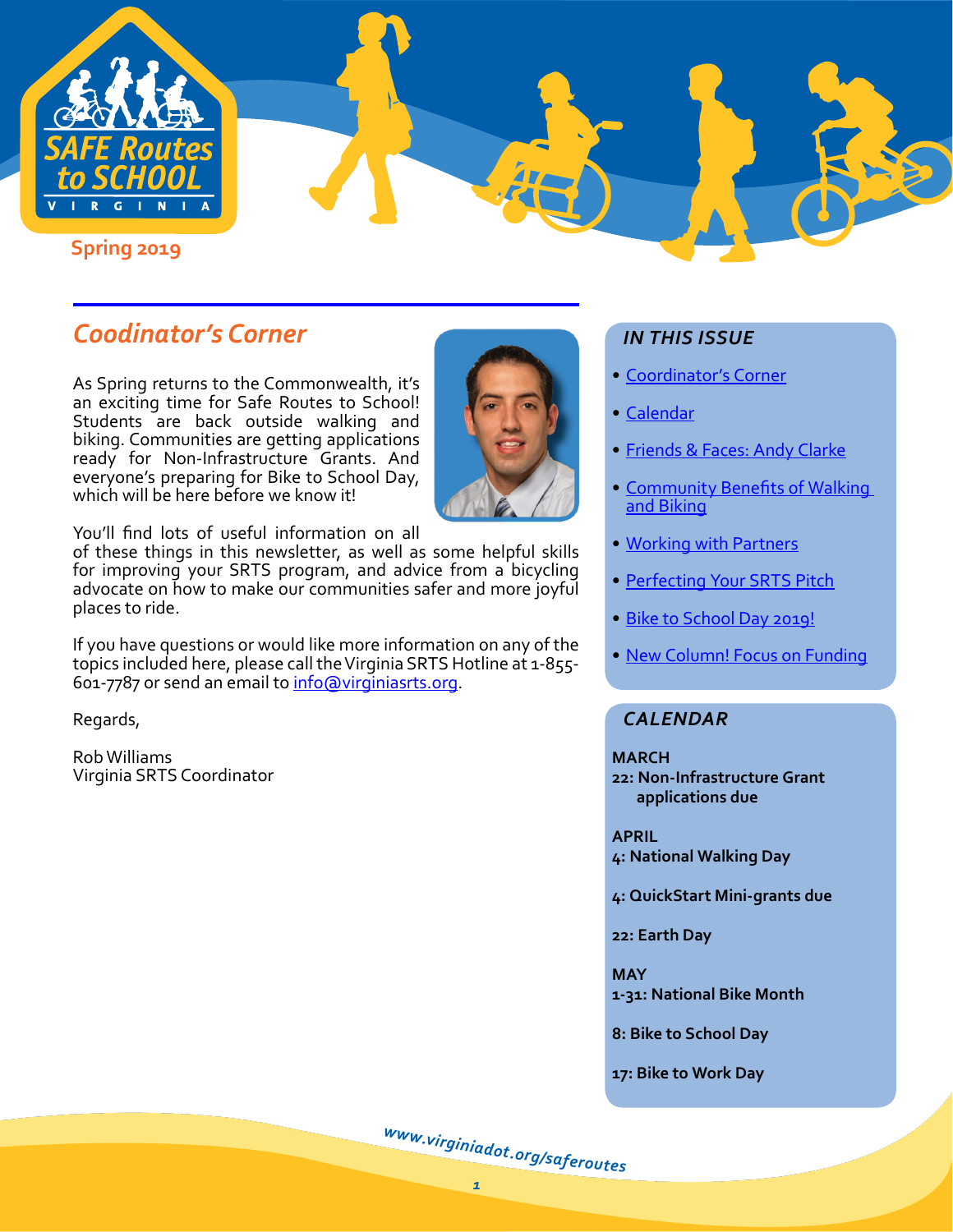

## *Coodinator's Corner*

As Spring returns to the Commonwealth, it's an exciting time for Safe Routes to School! Students are back outside walking and biking. Communities are getting applications ready for Non-Infrastructure Grants. And everyone's preparing for Bike to School Day, which will be here before we know it!



You'll find lots of useful information on all

of these things in this newsletter, as well as some helpful skills for improving your SRTS program, and advice from a bicycling advocate on how to make our communities safer and more joyful places to ride.

If you have questions or would like more information on any of the topics included here, please call the Virginia SRTS Hotline at 1-855 601-7787 or send an email to [info@virginiasrts.org](mailto:info%40virginiasrts.org.?subject=).

Regards,

Rob Williams Virginia SRTS Coordinator

## *IN THIS ISSUE*

- Coordinator's Corner
- [Calendar](#page-0-0)
- [Friends & Faces: Andy Clarke](#page-1-0)
- [Community Benefits of Walking](#page-3-0)  [and Biking](#page-3-0)
- [Working with Partners](#page-4-0)
- [Perfecting Your SRTS Pitch](#page-5-0)
- [Bike to School Day 2019!](#page-5-1)
- [New Column! Focus on Funding](#page-7-0)

## <span id="page-0-0"></span>*CALENDAR*

#### **MARCH**

**22: Non-Infrastructure Grant applications due**

#### **APRIL**

**4: National Walking Day**

**4: QuickStart Mini-grants due**

**22: Earth Day**

**MAY 1-31: National Bike Month**

**8: Bike to School Day**

**17: Bike to Work Day**

[w](http://www.virginiadot.org/saferoutes)ww.[v](http://www.virginiadot.org/saferoutes)[i](http://www.virginiadot.org/saferoutes)[r](http://www.virginiadot.org/saferoutes)[g](http://www.virginiadot.org/saferoutes)i[n](http://www.virginiadot.org/saferoutes)i[a](http://www.virginiadot.org/saferoutes)[d](http://www.virginiadot.org/saferoutes)[o](http://www.virginiadot.org/saferoutes)[t](http://www.virginiadot.org/saferoutes).org[/](http://www.virginiadot.org/saferoutes)[s](http://www.virginiadot.org/saferoutes)a[f](http://www.virginiadot.org/saferoutes)[e](http://www.virginiadot.org/saferoutes)ro[u](http://www.virginiadot.org/saferoutes)tes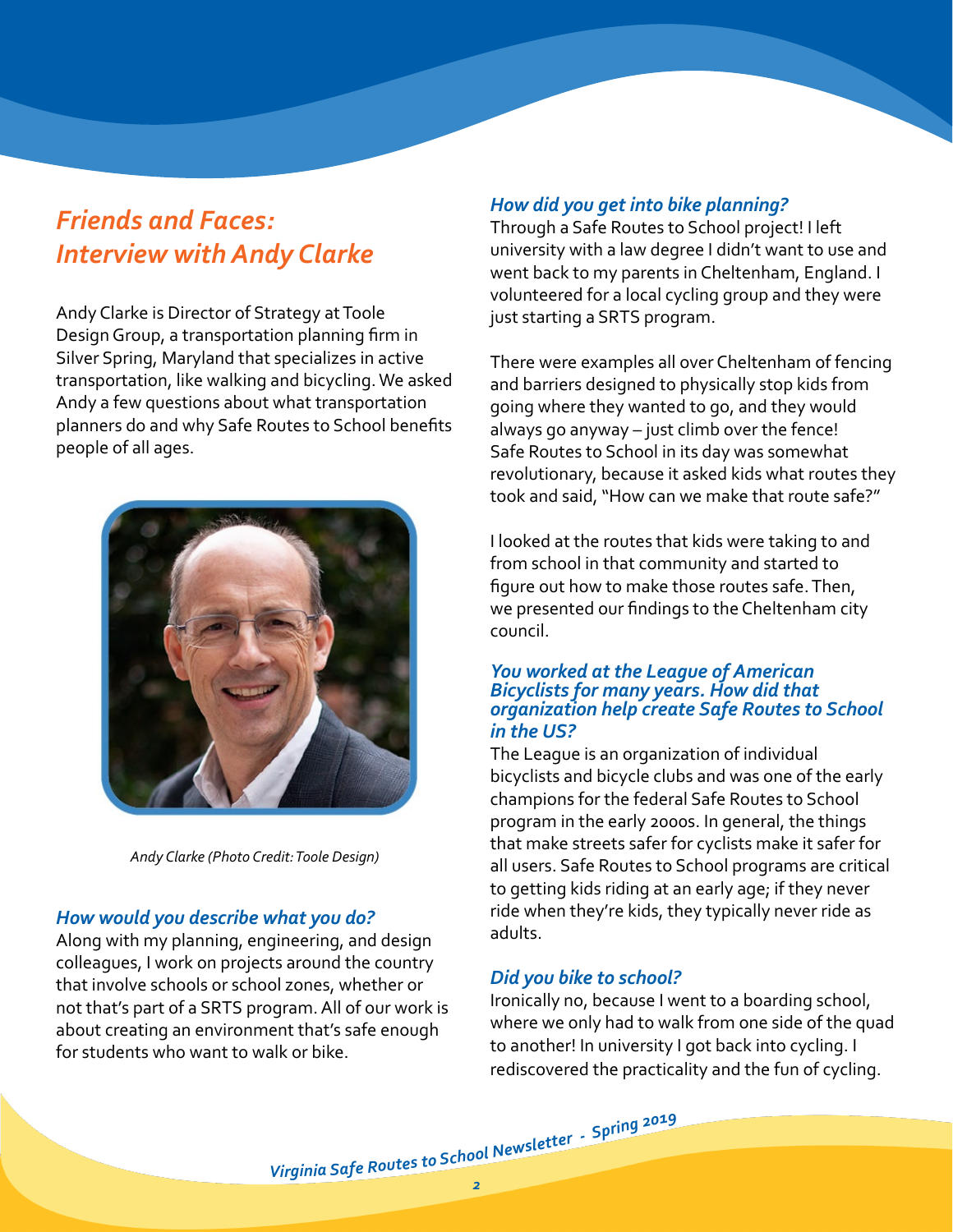## <span id="page-1-0"></span>*Friends and Faces: Interview with Andy Clarke*

Andy Clarke is Director of Strategy at Toole Design Group, a transportation planning firm in Silver Spring, Maryland that specializes in active transportation, like walking and bicycling. We asked Andy a few questions about what transportation planners do and why Safe Routes to School benefits people of all ages.



*Andy Clarke (Photo Credit: Toole Design)*

#### *How would you describe what you do?*

Along with my planning, engineering, and design colleagues, I work on projects around the country that involve schools or school zones, whether or not that's part of a SRTS program. All of our work is about creating an environment that's safe enough for students who want to walk or bike.

### *How did you get into bike planning?*

Through a Safe Routes to School project! I left university with a law degree I didn't want to use and went back to my parents in Cheltenham, England. I volunteered for a local cycling group and they were just starting a SRTS program.

There were examples all over Cheltenham of fencing and barriers designed to physically stop kids from going where they wanted to go, and they would always go anyway – just climb over the fence! Safe Routes to School in its day was somewhat revolutionary, because it asked kids what routes they took and said, "How can we make that route safe?"

I looked at the routes that kids were taking to and from school in that community and started to figure out how to make those routes safe. Then, we presented our findings to the Cheltenham city council.

#### *You worked at the League of American Bicyclists for many years. How did that organization help create Safe Routes to School in the US?*

The League is an organization of individual bicyclists and bicycle clubs and was one of the early champions for the federal Safe Routes to School program in the early 2000s. In general, the things that make streets safer for cyclists make it safer for all users. Safe Routes to School programs are critical to getting kids riding at an early age; if they never ride when they're kids, they typically never ride as adults.

### *Did you bike to school?*

Ironically no, because I went to a boarding school, where we only had to walk from one side of the quad to another! In university I got back into cycling. I rediscovered the practicality and the fun of cycling.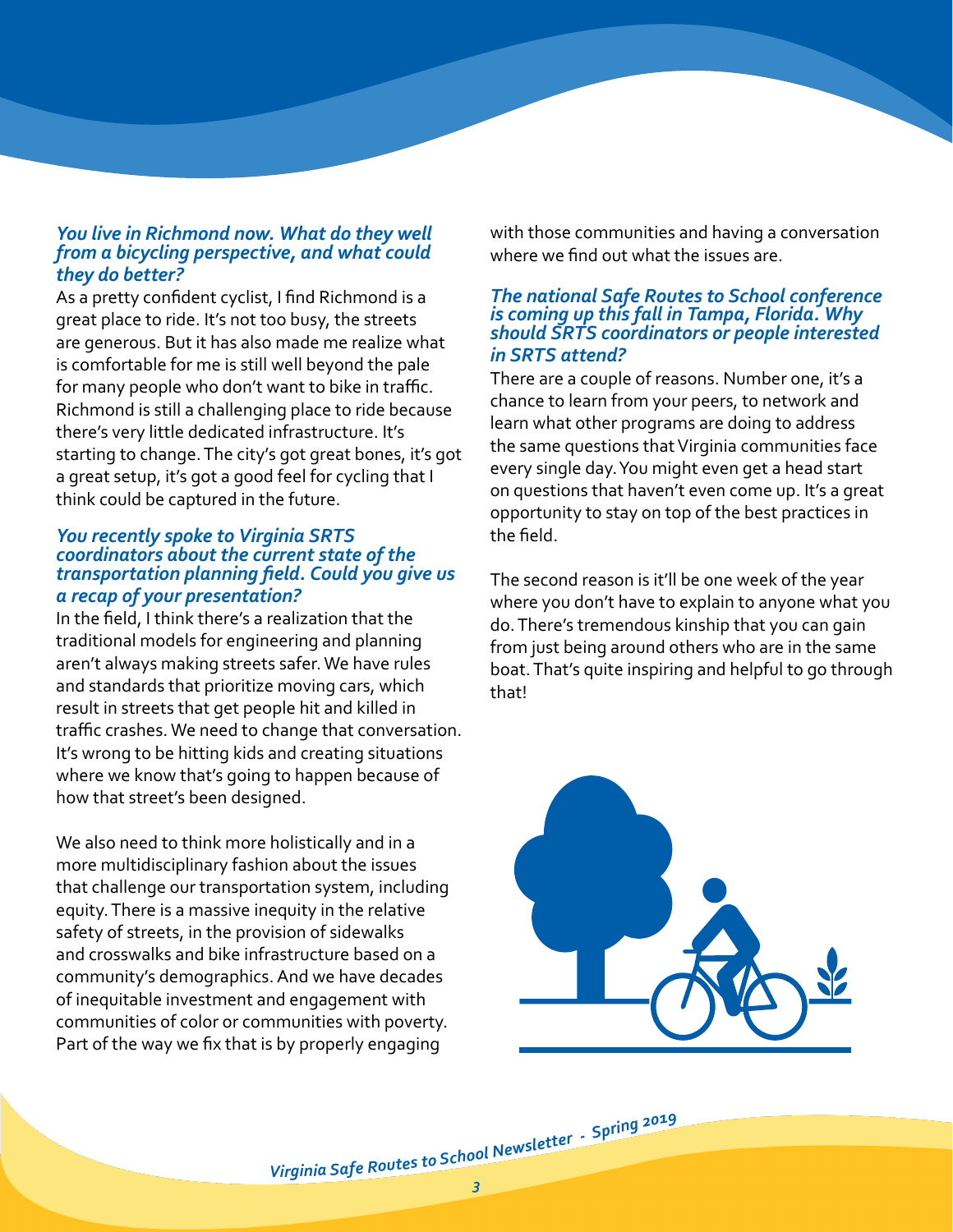#### *You live in Richmond now. What do they well from a bicycling perspective, and what could they do better?*

As a pretty confident cyclist, I find Richmond is a great place to ride. It's not too busy, the streets are generous. But it has also made me realize what is comfortable for me is still well beyond the pale for many people who don't want to bike in traffic. Richmond is still a challenging place to ride because there's very little dedicated infrastructure. It's starting to change. The city's got great bones, it's got a great setup, it's got a good feel for cycling that I think could be captured in the future.

#### *You recently spoke to Virginia SRTS coordinators about the current state of the transportation planning field. Could you give us a recap of your presentation?*

In the field, I think there's a realization that the traditional models for engineering and planning aren't always making streets safer. We have rules and standards that prioritize moving cars, which result in streets that get people hit and killed in traffic crashes. We need to change that conversation. It's wrong to be hitting kids and creating situations where we know that's going to happen because of how that street's been designed.

We also need to think more holistically and in a more multidisciplinary fashion about the issues that challenge our transportation system, including equity. There is a massive inequity in the relative safety of streets, in the provision of sidewalks and crosswalks and bike infrastructure based on a community's demographics. And we have decades of inequitable investment and engagement with communities of color or communities with poverty. Part of the way we fix that is by properly engaging

with those communities and having a conversation where we find out what the issues are.

#### *The national Safe Routes to School conference is coming up this fall in Tampa, Florida. Why should SRTS coordinators or people interested in SRTS attend?*

There are a couple of reasons. Number one, it's a chance to learn from your peers, to network and learn what other programs are doing to address the same questions that Virginia communities face every single day. You might even get a head start on questions that haven't even come up. It's a great opportunity to stay on top of the best practices in the field.

The second reason is it'll be one week of the year where you don't have to explain to anyone what you do. There's tremendous kinship that you can gain from just being around others who are in the same boat. That's quite inspiring and helpful to go through that!

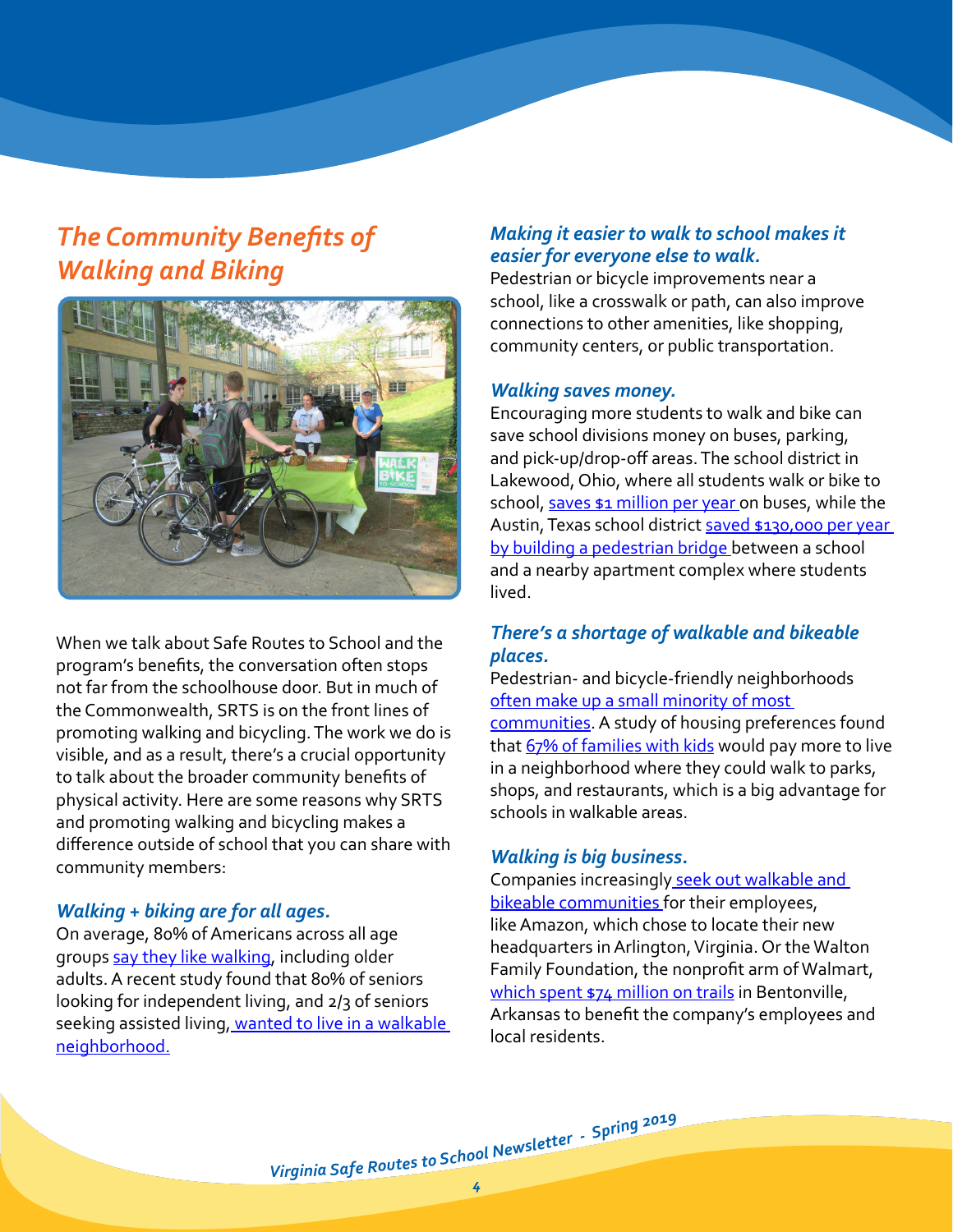# <span id="page-3-0"></span>*The Community Benefits of Walking and Biking*



When we talk about Safe Routes to School and the program's benefits, the conversation often stops not far from the schoolhouse door. But in much of the Commonwealth, SRTS is on the front lines of promoting walking and bicycling. The work we do is visible, and as a result, there's a crucial opportunity to talk about the broader community benefits of physical activity. Here are some reasons why SRTS and promoting walking and bicycling makes a difference outside of school that you can share with community members:

#### *Walking + biking are for all ages.*

On average, 80% of Americans across all age groups [say they like walking](https://www.nar.realtor/sites/default/files/documents/2017%20Analysis%20and%20slides.pdf?utm_source=VDOT+SRTS+Spring+2019+Newsletter&utm_campaign=VDOT+SRTS+Spring+2019+Newsletter&utm_medium=email), including older adults. A recent study found that 80% of seniors looking for independent living, and 2/3 of seniors seeking assisted living, wanted to live in a walkable [neighborhood.](https://www.curbed.com/2017/7/25/16025388/senior-living-walkability-survey?utm_source=VDOT+SRTS+Spring+2019+Newsletter&utm_campaign=VDOT+SRTS+Spring+2019+Newsletter&utm_medium=email)

### *Making it easier to walk to school makes it easier for everyone else to walk.*

Pedestrian or bicycle improvements near a school, like a crosswalk or path, can also improve connections to other amenities, like shopping, community centers, or public transportation.

#### *Walking saves money.*

Encouraging more students to walk and bike can save school divisions money on buses, parking, and pick-up/drop-off areas. The school district in Lakewood, Ohio, where all students walk or bike to school, [saves \\$1 million per year](https://www.governing.com/topics/education/gov-lakewood-ohio-walking-school.html?utm_source=VDOT+SRTS+Spring+2019+Newsletter&utm_campaign=VDOT+SRTS+Spring+2019+Newsletter&utm_medium=email) on buses, while the Austin, Texas school district saved \$130,000 per year [by building a pedestrian bridge b](http://mcdonald.web.unc.edu/files/2014/12/McDonaldetal_CostsSchoolTrans.pdf?utm_source=VDOT+SRTS+Spring+2019+Newsletter&utm_campaign=VDOT+SRTS+Spring+2019+Newsletter&utm_medium=email)etween a school and a nearby apartment complex where students lived.

### *There's a shortage of walkable and bikeable places.*

Pedestrian- and bicycle-friendly neighborhoods [often make up a small minority of most](https://creua.business.gwu.edu/research/walkups/?utm_source=VDOT+SRTS+Spring+2019+Newsletter&utm_campaign=VDOT+SRTS+Spring+2019+Newsletter&utm_medium=email)  [communities](https://creua.business.gwu.edu/research/walkups/?utm_source=VDOT+SRTS+Spring+2019+Newsletter&utm_campaign=VDOT+SRTS+Spring+2019+Newsletter&utm_medium=email). A study of housing preferences found that [67% of families with kids](https://www.nar.realtor/sites/default/files/documents/2017%20Analysis%20and%20slides.pdf?utm_source=VDOT+SRTS+Spring+2019+Newsletter&utm_campaign=VDOT+SRTS+Spring+2019+Newsletter&utm_medium=email) would pay more to live in a neighborhood where they could walk to parks, shops, and restaurants, which is a big advantage for schools in walkable areas.

#### *Walking is big business.*

Companies increasingly seek out walkable and [bikeable communities](https://urbanland.uli.org/news/walkable-downtowns-drawing-companies-talent/?utm_source=VDOT+SRTS+Spring+2019+Newsletter&utm_campaign=VDOT+SRTS+Spring+2019+Newsletter&utm_medium=email) for their employees, like Amazon, which chose to locate their new headquarters in Arlington, Virginia. Or the Walton Family Foundation, the nonprofit arm of Walmart, [which spent \\$74 million on trails](https://www.citylab.com/transportation/2018/05/how-arkansas-became-bike-country/560228/?utm_source=VDOT+SRTS+Spring+2019+Newsletter&utm_campaign=VDOT+SRTS+Spring+2019+Newsletter&utm_medium=email) in Bentonville, Arkansas to benefit the company's employees and local residents.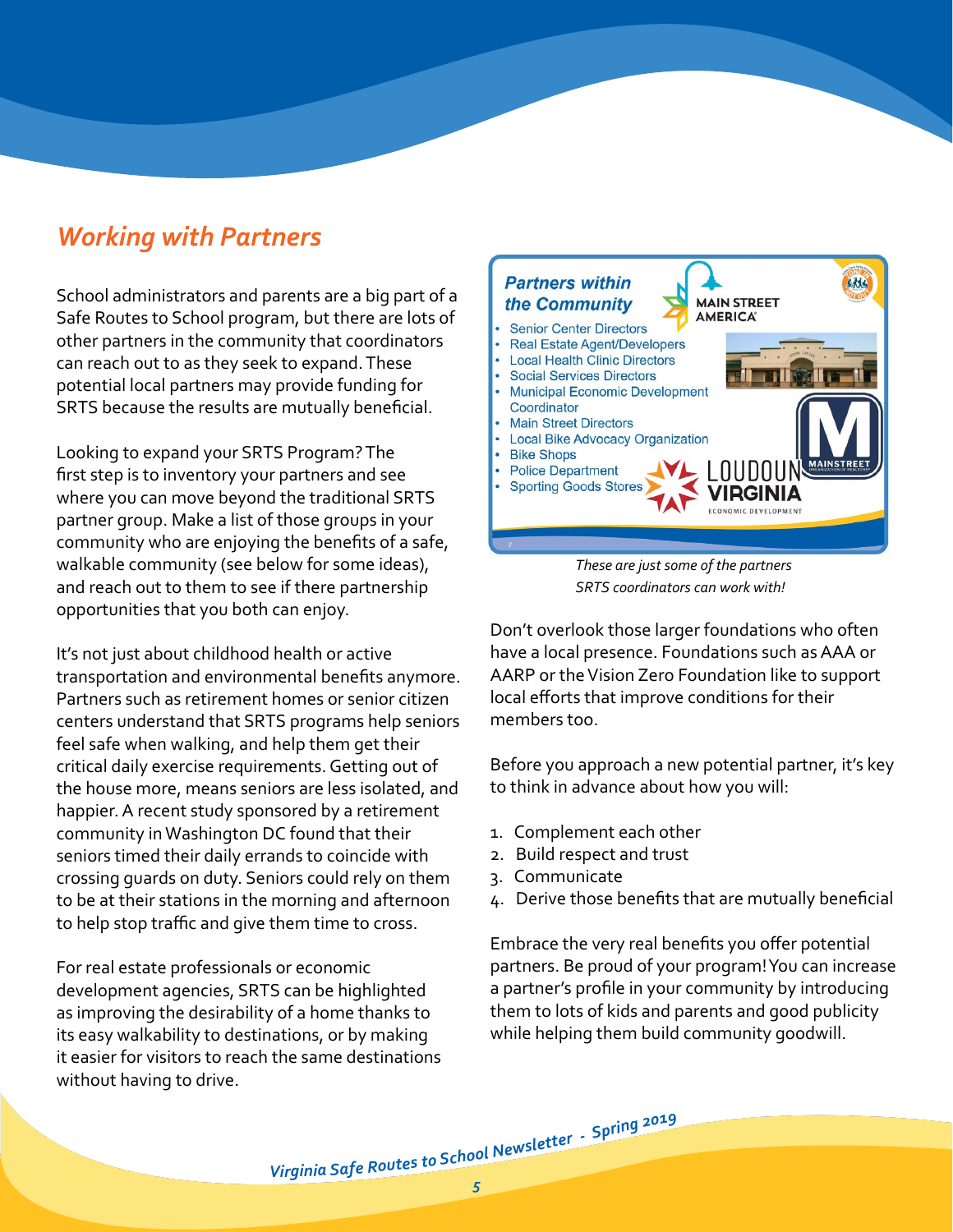## <span id="page-4-0"></span>*Working with Partners*

School administrators and parents are a big part of a Safe Routes to School program, but there are lots of other partners in the community that coordinators can reach out to as they seek to expand. These potential local partners may provide funding for SRTS because the results are mutually beneficial.

Looking to expand your SRTS Program? The first step is to inventory your partners and see where you can move beyond the traditional SRTS partner group. Make a list of those groups in your community who are enjoying the benefits of a safe, walkable community (see below for some ideas), and reach out to them to see if there partnership opportunities that you both can enjoy.

It's not just about childhood health or active transportation and environmental benefits anymore. Partners such as retirement homes or senior citizen centers understand that SRTS programs help seniors feel safe when walking, and help them get their critical daily exercise requirements. Getting out of the house more, means seniors are less isolated, and happier. A recent study sponsored by a retirement community in Washington DC found that their seniors timed their daily errands to coincide with crossing guards on duty. Seniors could rely on them to be at their stations in the morning and afternoon to help stop traffic and give them time to cross.

For real estate professionals or economic development agencies, SRTS can be highlighted as improving the desirability of a home thanks to its easy walkability to destinations, or by making it easier for visitors to reach the same destinations without having to drive.



*These are just some of the partners SRTS coordinators can work with!*

Don't overlook those larger foundations who often have a local presence. Foundations such as AAA or AARP or the Vision Zero Foundation like to support local efforts that improve conditions for their members too.

Before you approach a new potential partner, it's key to think in advance about how you will:

- 1. Complement each other
- 2. Build respect and trust
- 3. Communicate
- 4. Derive those benefits that are mutually beneficial

Embrace the very real benefits you offer potential partners. Be proud of your program! You can increase a partner's profile in your community by introducing them to lots of kids and parents and good publicity while helping them build community goodwill.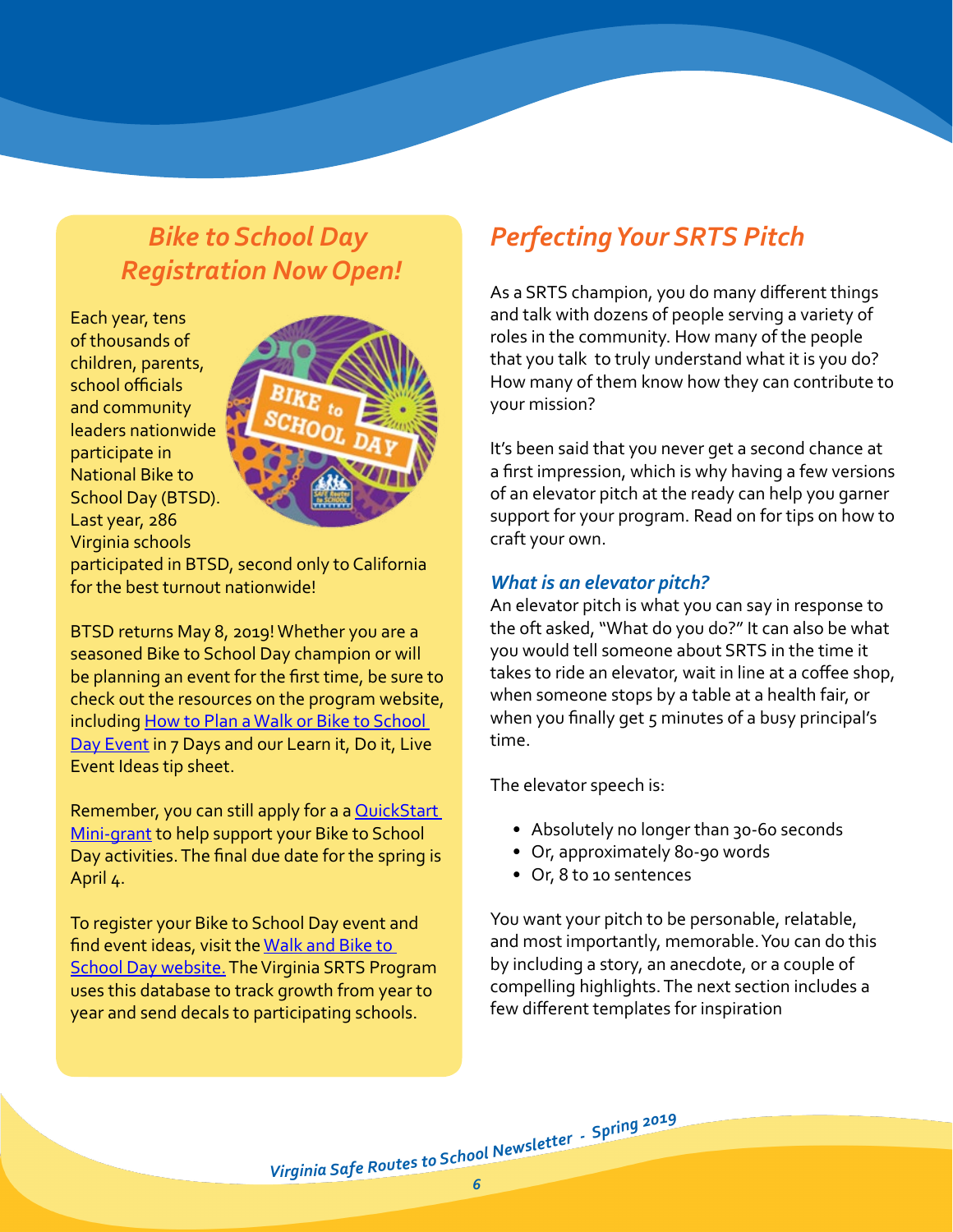## <span id="page-5-1"></span>*Bike to School Day Registration Now Open!*

Each year, tens of thousands of children, parents, school officials and community leaders nationwide participate in National Bike to School Day (BTSD). Last year, 286 Virginia schools



participated in BTSD, second only to California for the best turnout nationwide!

BTSD returns May 8, 2019! Whether you are a seasoned Bike to School Day champion or will be planning an event for the first time, be sure to check out the resources on the program website, including [How to Plan a Walk or Bike to School](http://www.virginiadot.org/programs/resources/safeRouteResources/all/VDOT_LDL_7-Days_Flyer_2014.pdf?dl=0&utm_source=VDOT+SRTS+Spring+2019+Newsletter&utm_campaign=VDOT+SRTS+Spring+2019+Newsletter&utm_medium=email)  [Day Event](http://www.virginiadot.org/programs/resources/safeRouteResources/all/VDOT_LDL_7-Days_Flyer_2014.pdf?dl=0&utm_source=VDOT+SRTS+Spring+2019+Newsletter&utm_campaign=VDOT+SRTS+Spring+2019+Newsletter&utm_medium=email) in 7 Days and our Learn it, Do it, Live Event Ideas tip sheet.

Remember, you can still apply for a a QuickStart [Mini-grant](http://www.virginiadot.org/programs/srsm_quick_start_mini-grant_program.asp?utm_source=VDOT+SRTS+Spring+2019+Newsletter&utm_campaign=VDOT+SRTS+Spring+2019+Newsletter&utm_medium=email) to help support your Bike to School Day activities. The final due date for the spring is April 4.

To register your Bike to School Day event and find event ideas, visit the [Walk and Bike to](http://www.walkbiketoschool.org/?utm_source=VDOT%20SRTS%20Spring%202019%20Newsletter&utm_campaign=VDOT%20SRTS%20Spring%202019%20Newsletter&utm_medium=email)  [School Day website.](http://www.walkbiketoschool.org/?utm_source=VDOT%20SRTS%20Spring%202019%20Newsletter&utm_campaign=VDOT%20SRTS%20Spring%202019%20Newsletter&utm_medium=email) The Virginia SRTS Program uses this database to track growth from year to year and send decals to participating schools.

# <span id="page-5-0"></span>*Perfecting Your SRTS Pitch*

As a SRTS champion, you do many different things and talk with dozens of people serving a variety of roles in the community. How many of the people that you talk to truly understand what it is you do? How many of them know how they can contribute to your mission?

It's been said that you never get a second chance at a first impression, which is why having a few versions of an elevator pitch at the ready can help you garner support for your program. Read on for tips on how to craft your own.

### *What is an elevator pitch?*

An elevator pitch is what you can say in response to the oft asked, "What do you do?" It can also be what you would tell someone about SRTS in the time it takes to ride an elevator, wait in line at a coffee shop, when someone stops by a table at a health fair, or when you finally get 5 minutes of a busy principal's time.

The elevator speech is:

- Absolutely no longer than 30-60 seconds
- Or, approximately 80-90 words
- Or, 8 to 10 sentences

You want your pitch to be personable, relatable, and most importantly, memorable. You can do this by including a story, an anecdote, or a couple of compelling highlights. The next section includes a few different templates for inspiration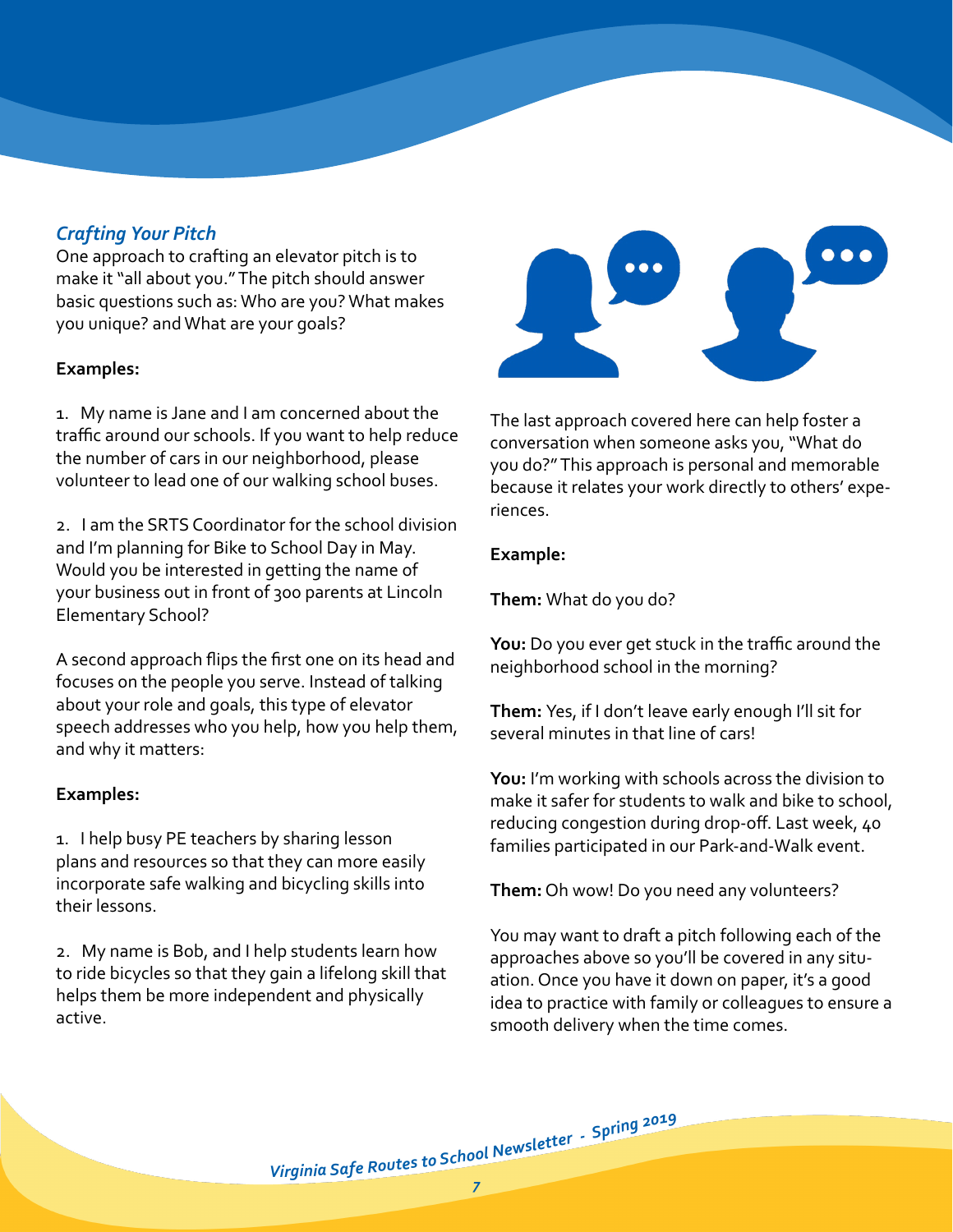## *Crafting Your Pitch*

One approach to crafting an elevator pitch is to make it "all about you." The pitch should answer basic questions such as: Who are you? What makes you unique? and What are your goals?

#### **Examples:**

1. My name is Jane and I am concerned about the traffic around our schools. If you want to help reduce the number of cars in our neighborhood, please volunteer to lead one of our walking school buses.

2. I am the SRTS Coordinator for the school division and I'm planning for Bike to School Day in May. Would you be interested in getting the name of your business out in front of 300 parents at Lincoln Elementary School?

A second approach flips the first one on its head and focuses on the people you serve. Instead of talking about your role and goals, this type of elevator speech addresses who you help, how you help them, and why it matters:

#### **Examples:**

1. I help busy PE teachers by sharing lesson plans and resources so that they can more easily incorporate safe walking and bicycling skills into their lessons.

2. My name is Bob, and I help students learn how to ride bicycles so that they gain a lifelong skill that helps them be more independent and physically active.



The last approach covered here can help foster a conversation when someone asks you, "What do you do?" This approach is personal and memorable because it relates your work directly to others' experiences.

#### **Example:**

**Them:** What do you do?

**You:** Do you ever get stuck in the traffic around the neighborhood school in the morning?

**Them:** Yes, if I don't leave early enough I'll sit for several minutes in that line of cars!

**You:** I'm working with schools across the division to make it safer for students to walk and bike to school, reducing congestion during drop-off. Last week, 40 families participated in our Park-and-Walk event.

**Them:** Oh wow! Do you need any volunteers?

You may want to draft a pitch following each of the approaches above so you'll be covered in any situation. Once you have it down on paper, it's a good idea to practice with family or colleagues to ensure a smooth delivery when the time comes.